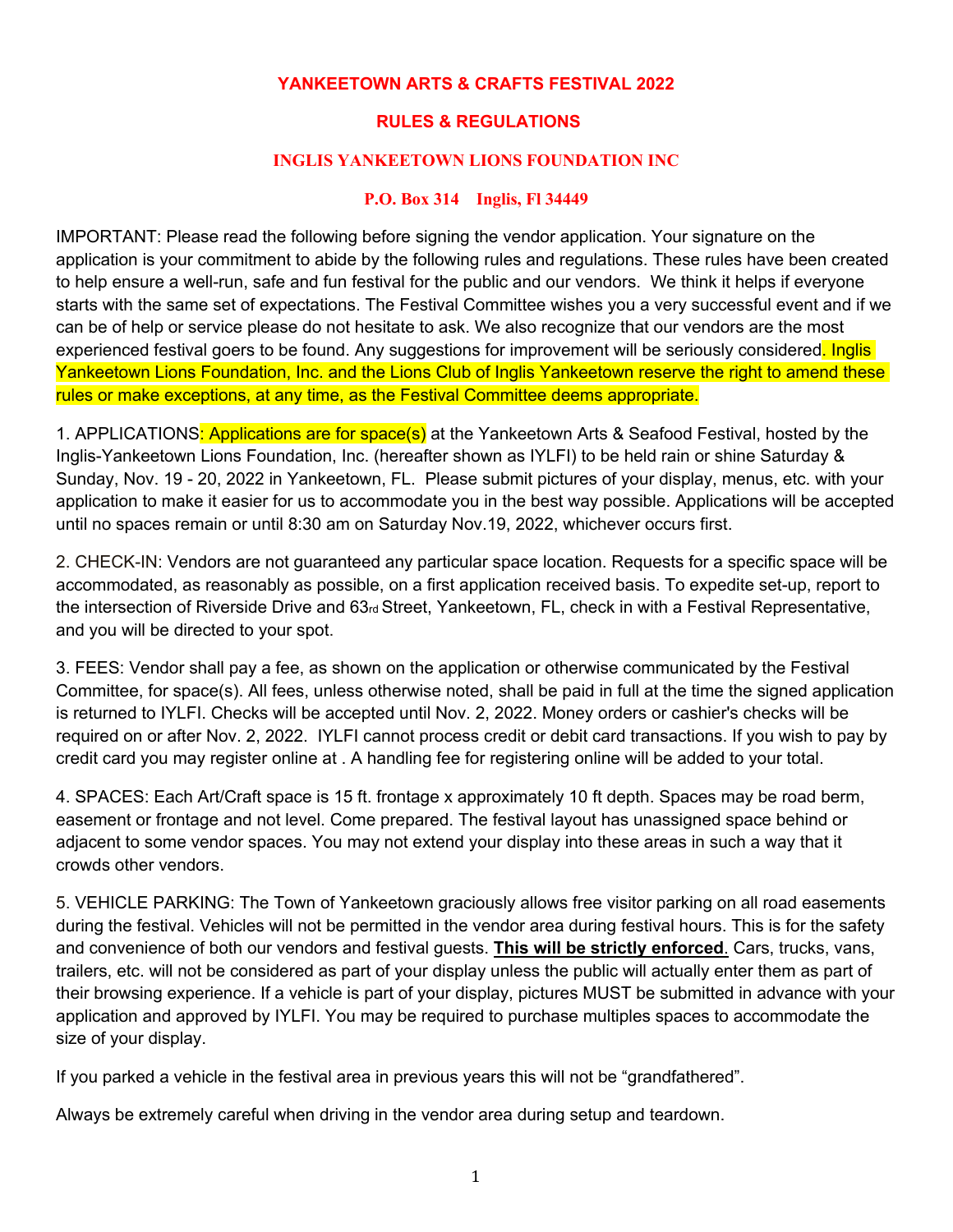## **YANKEETOWN ARTS & CRAFTS FESTIVAL 2022**

## **RULES & REGULATIONS**

#### **INGLIS YANKEETOWN LIONS FOUNDATION INC**

#### **P.O. Box 314 Inglis, Fl 34449**

IMPORTANT: Please read the following before signing the vendor application. Your signature on the application is your commitment to abide by the following rules and regulations. These rules have been created to help ensure a well-run, safe and fun festival for the public and our vendors. We think it helps if everyone starts with the same set of expectations. The Festival Committee wishes you a very successful event and if we can be of help or service please do not hesitate to ask. We also recognize that our vendors are the most experienced festival goers to be found. Any suggestions for improvement will be seriously considered. Inglis Yankeetown Lions Foundation, Inc. and the Lions Club of Inglis Yankeetown reserve the right to amend these rules or make exceptions, at any time, as the Festival Committee deems appropriate.

1. APPLICATIONS<mark>: Applications are for space(s)</mark> at the Yankeetown Arts & Seafood Festival, hosted by the Inglis-Yankeetown Lions Foundation, Inc. (hereafter shown as IYLFI) to be held rain or shine Saturday & Sunday, Nov. 19 - 20, 2022 in Yankeetown, FL. Please submit pictures of your display, menus, etc. with your application to make it easier for us to accommodate you in the best way possible. Applications will be accepted until no spaces remain or until 8:30 am on Saturday Nov.19, 2022, whichever occurs first.

2. CHECK-IN: Vendors are not guaranteed any particular space location. Requests for a specific space will be accommodated, as reasonably as possible, on a first application received basis. To expedite set-up, report to the intersection of Riverside Drive and 63rd Street, Yankeetown, FL, check in with a Festival Representative, and you will be directed to your spot.

3. FEES: Vendor shall pay a fee, as shown on the application or otherwise communicated by the Festival Committee, for space(s). All fees, unless otherwise noted, shall be paid in full at the time the signed application is returned to IYLFI. Checks will be accepted until Nov. 2, 2022. Money orders or cashier's checks will be required on or after Nov. 2, 2022. IYLFI cannot process credit or debit card transactions. If you wish to pay by credit card you may register online at . A handling fee for registering online will be added to your total.

4. SPACES: Each Art/Craft space is 15 ft. frontage x approximately 10 ft depth. Spaces may be road berm, easement or frontage and not level. Come prepared. The festival layout has unassigned space behind or adjacent to some vendor spaces. You may not extend your display into these areas in such a way that it crowds other vendors.

5. VEHICLE PARKING: The Town of Yankeetown graciously allows free visitor parking on all road easements during the festival. Vehicles will not be permitted in the vendor area during festival hours. This is for the safety and convenience of both our vendors and festival guests. **This will be strictly enforced**. Cars, trucks, vans, trailers, etc. will not be considered as part of your display unless the public will actually enter them as part of their browsing experience. If a vehicle is part of your display, pictures MUST be submitted in advance with your application and approved by IYLFI. You may be required to purchase multiples spaces to accommodate the size of your display.

If you parked a vehicle in the festival area in previous years this will not be "grandfathered".

Always be extremely careful when driving in the vendor area during setup and teardown.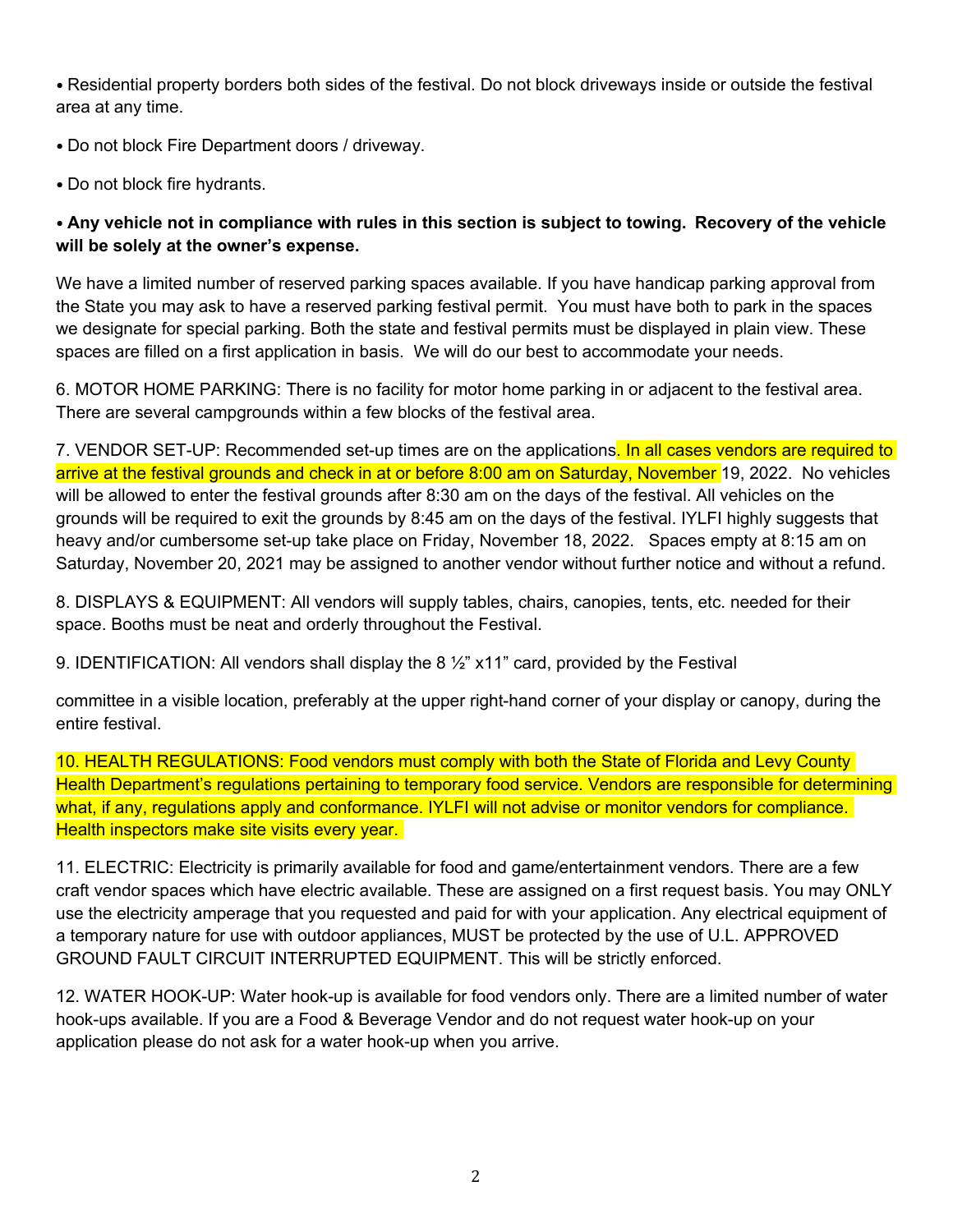• Residential property borders both sides of the festival. Do not block driveways inside or outside the festival area at any time.

• Do not block Fire Department doors / driveway.

• Do not block fire hydrants.

# • **Any vehicle not in compliance with rules in this section is subject to towing. Recovery of the vehicle will be solely at the owner's expense.**

We have a limited number of reserved parking spaces available. If you have handicap parking approval from the State you may ask to have a reserved parking festival permit. You must have both to park in the spaces we designate for special parking. Both the state and festival permits must be displayed in plain view. These spaces are filled on a first application in basis. We will do our best to accommodate your needs.

6. MOTOR HOME PARKING: There is no facility for motor home parking in or adjacent to the festival area. There are several campgrounds within a few blocks of the festival area.

7. VENDOR SET-UP: Recommended set-up times are on the applications. In all cases vendors are required to arrive at the festival grounds and check in at or before 8:00 am on Saturday, November 19, 2022. No vehicles will be allowed to enter the festival grounds after 8:30 am on the days of the festival. All vehicles on the grounds will be required to exit the grounds by 8:45 am on the days of the festival. IYLFI highly suggests that heavy and/or cumbersome set-up take place on Friday, November 18, 2022. Spaces empty at 8:15 am on Saturday, November 20, 2021 may be assigned to another vendor without further notice and without a refund.

8. DISPLAYS & EQUIPMENT: All vendors will supply tables, chairs, canopies, tents, etc. needed for their space. Booths must be neat and orderly throughout the Festival.

9. IDENTIFICATION: All vendors shall display the 8 ½" x11" card, provided by the Festival

committee in a visible location, preferably at the upper right-hand corner of your display or canopy, during the entire festival.

10. HEALTH REGULATIONS: Food vendors must comply with both the State of Florida and Levy County Health Department's regulations pertaining to temporary food service. Vendors are responsible for determining what, if any, regulations apply and conformance. IYLFI will not advise or monitor vendors for compliance. Health inspectors make site visits every year.

11. ELECTRIC: Electricity is primarily available for food and game/entertainment vendors. There are a few craft vendor spaces which have electric available. These are assigned on a first request basis. You may ONLY use the electricity amperage that you requested and paid for with your application. Any electrical equipment of a temporary nature for use with outdoor appliances, MUST be protected by the use of U.L. APPROVED GROUND FAULT CIRCUIT INTERRUPTED EQUIPMENT. This will be strictly enforced.

12. WATER HOOK-UP: Water hook-up is available for food vendors only. There are a limited number of water hook-ups available. If you are a Food & Beverage Vendor and do not request water hook-up on your application please do not ask for a water hook-up when you arrive.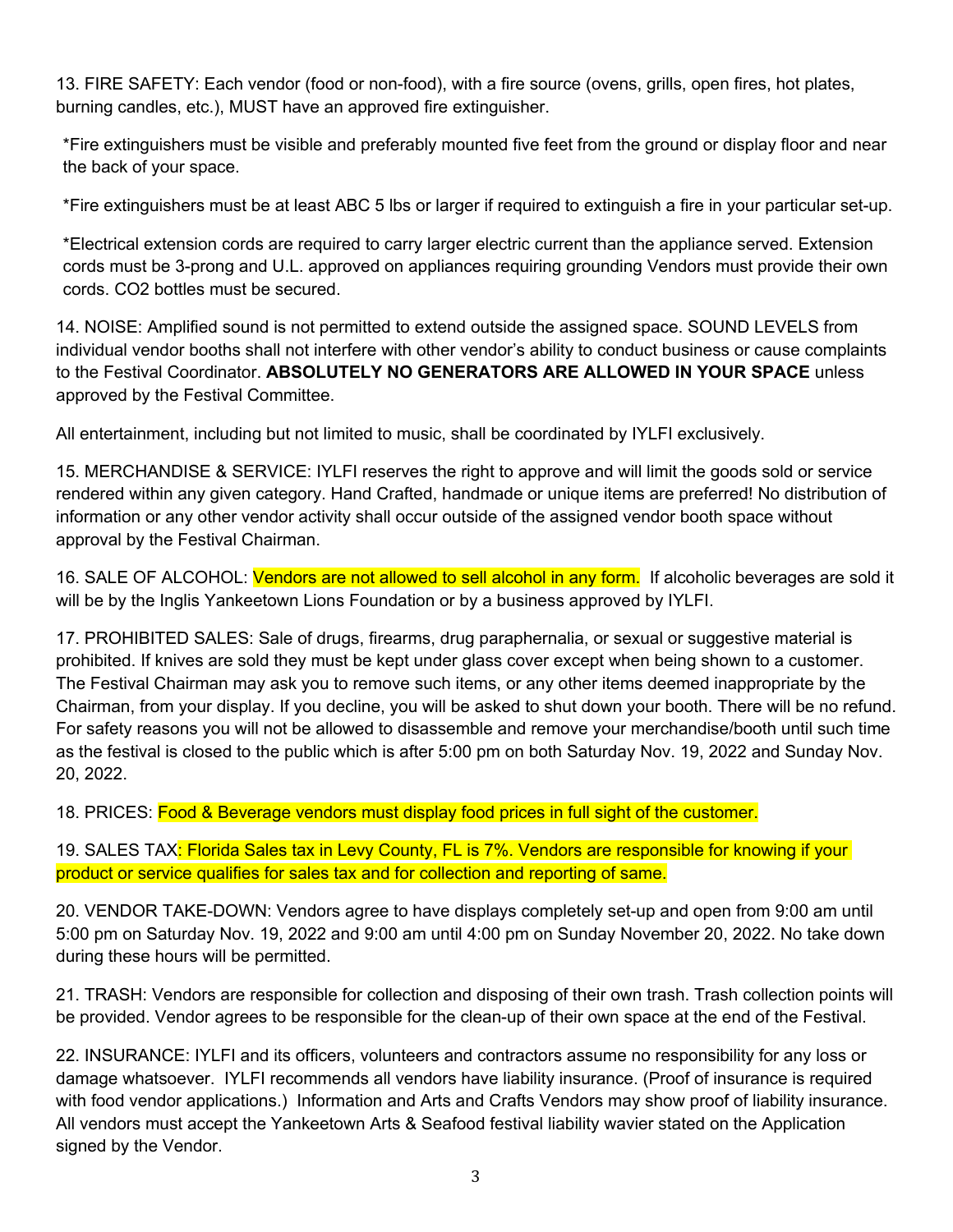13. FIRE SAFETY: Each vendor (food or non-food), with a fire source (ovens, grills, open fires, hot plates, burning candles, etc.), MUST have an approved fire extinguisher.

\*Fire extinguishers must be visible and preferably mounted five feet from the ground or display floor and near the back of your space.

\*Fire extinguishers must be at least ABC 5 lbs or larger if required to extinguish a fire in your particular set-up.

\*Electrical extension cords are required to carry larger electric current than the appliance served. Extension cords must be 3-prong and U.L. approved on appliances requiring grounding Vendors must provide their own cords. CO2 bottles must be secured.

14. NOISE: Amplified sound is not permitted to extend outside the assigned space. SOUND LEVELS from individual vendor booths shall not interfere with other vendor's ability to conduct business or cause complaints to the Festival Coordinator. **ABSOLUTELY NO GENERATORS ARE ALLOWED IN YOUR SPACE** unless approved by the Festival Committee.

All entertainment, including but not limited to music, shall be coordinated by IYLFI exclusively.

15. MERCHANDISE & SERVICE: IYLFI reserves the right to approve and will limit the goods sold or service rendered within any given category. Hand Crafted, handmade or unique items are preferred! No distribution of information or any other vendor activity shall occur outside of the assigned vendor booth space without approval by the Festival Chairman.

16. SALE OF ALCOHOL: *Vendors are not allowed to sell alcohol in any form.* If alcoholic beverages are sold it will be by the Inglis Yankeetown Lions Foundation or by a business approved by IYLFI.

17. PROHIBITED SALES: Sale of drugs, firearms, drug paraphernalia, or sexual or suggestive material is prohibited. If knives are sold they must be kept under glass cover except when being shown to a customer. The Festival Chairman may ask you to remove such items, or any other items deemed inappropriate by the Chairman, from your display. If you decline, you will be asked to shut down your booth. There will be no refund. For safety reasons you will not be allowed to disassemble and remove your merchandise/booth until such time as the festival is closed to the public which is after 5:00 pm on both Saturday Nov. 19, 2022 and Sunday Nov. 20, 2022.

18. PRICES: Food & Beverage vendors must display food prices in full sight of the customer.

19. SALES TAX<mark>: Florida Sales tax in Levy County, FL is 7%. Vendors are responsible for knowing if your</mark> product or service qualifies for sales tax and for collection and reporting of same.

20. VENDOR TAKE-DOWN: Vendors agree to have displays completely set-up and open from 9:00 am until 5:00 pm on Saturday Nov. 19, 2022 and 9:00 am until 4:00 pm on Sunday November 20, 2022. No take down during these hours will be permitted.

21. TRASH: Vendors are responsible for collection and disposing of their own trash. Trash collection points will be provided. Vendor agrees to be responsible for the clean-up of their own space at the end of the Festival.

22. INSURANCE: IYLFI and its officers, volunteers and contractors assume no responsibility for any loss or damage whatsoever. IYLFI recommends all vendors have liability insurance. (Proof of insurance is required with food vendor applications.) Information and Arts and Crafts Vendors may show proof of liability insurance. All vendors must accept the Yankeetown Arts & Seafood festival liability wavier stated on the Application signed by the Vendor.